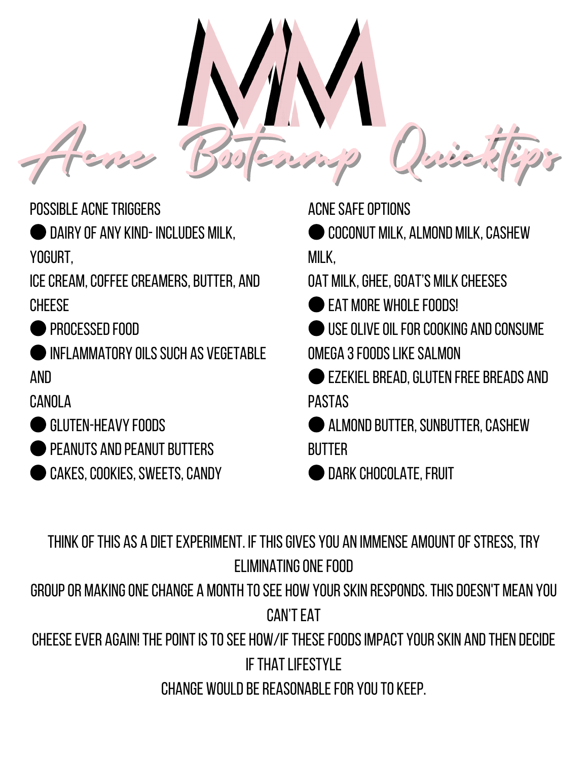Acnes Bootcamp Quicktips

POSSIBLE ACNETRIGGERS

●Dairy of any kind- includes milk, yogurt,

ICE CREAM, COFFEE CREAMERS, BUTTER, AND cheese

**PROCESSED FOOD** 

●Inflammatory oilssuch as vegetable and

canola

- ●Gluten-heavy foods
- PEANUTS AND PEANUT BUTTERS
- CAKES, COOKIES, SWEETS, CANDY

ACNESAFEOPTIONS

**COCONUT MILK, ALMOND MILK, CASHEW** milk,

OAT MILK, GHEE, GOAT'S MILK CHEESES

**FAT MORF WHOLF FOODS!** 

●Useoliveoilforcooking andconsume omega 3foodslikesalmon

●Ezekielbread,gluten freebreads and pastas

● ALMOND BUTTER, SUNBUTTER, CASHEW **BUTTER** 

DARK CHOCOLATE, FRUIT

THINK OF THIS AS A DIET EXPERIMENT. IF THIS GIVES YOU AN IMMENSE AMOUNT OF STRESS. TRY FI IMINATING ONF FOOD

groupor makingonechange a month tosee how yourskin responds.Thisdoesn't mean you **CAN'T EAT** 

CHEESE EVER AGAIN! THE POINT IS TO SEE HOW/IF THESE FOODS IMPACT YOUR SKIN AND THEN DECIDE **IF THAT I IFFSTYI F** 

CHANGE WOULD BE REASONABLE FOR YOU TO KEEP.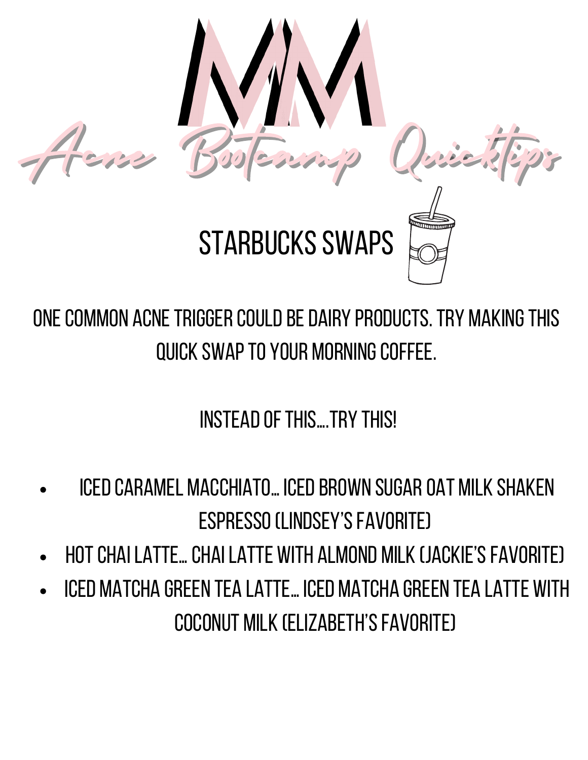



**STARBUCKS SWAPS** 

ONE COMMON ACNE TRIGGER COULD BE DAIRY PRODUCTS. TRY MAKING THIS quick swapto your morningcoffee.

INSTEAD OF THIS...TRY THIS!

- ICED CARAMEL MACCHIATO... ICED BROWN SUGAR OAT MILK SHAKEN ESPRESSO (LINDSEY'S FAVORITE)
- Hotchailatte…chailatte with almond milk (jackie'sfavorite)
- Iced matcha green tea latte…iced matcha green tea latte with coconut milk (Elizabeth'sfavorite)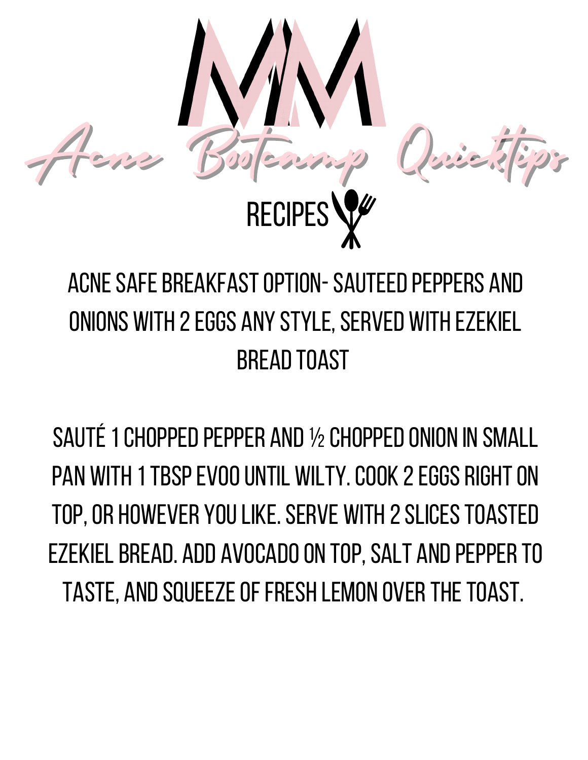

### ACNE SAFE BREAKFAST OPTION-SAUTEED PEPPERS AND ONIONS WITH 2 EGGS ANY STYLE, SERVED WITH EZEKIEL **BREAD TOAST**

SAUTÉ 1 CHOPPED PEPPER AND 1/2 CHOPPED ONION IN SMALL PAN WITH 1 TBSP EVOO UNTIL WILTY. COOK 2 EGGS RIGHT ON TOP, OR HOWEVER YOU LIKE. SERVE WITH 2 SLICES TOASTED EZEKIEL BREAD. ADD AVOCADO ON TOP, SALT AND PEPPER TO TASTE, AND SQUEEZE OF FRESH LEMON OVER THE TOAST.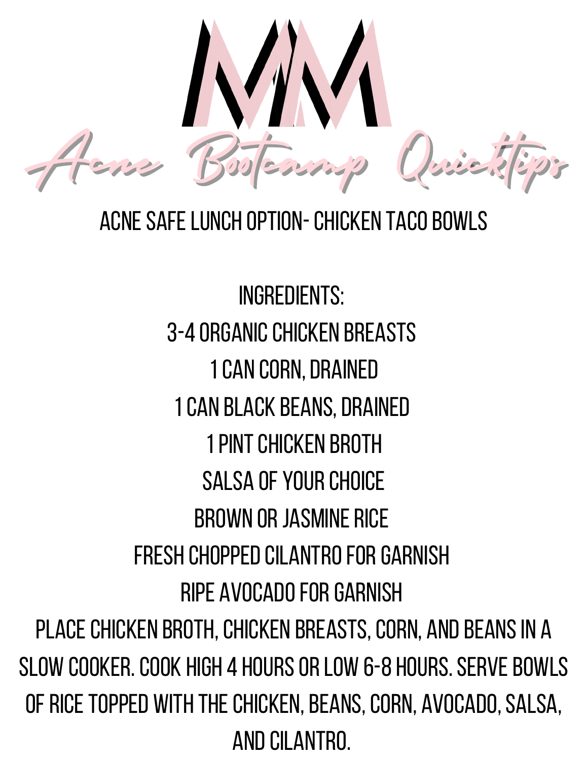Acne Bootcamp Quicktips

#### Acnesafelunch option-Chicken tacobowls

Ingredients: 3-4 ORGANIC CHICKEN BREASTS 1 CAN CORN, DRAINED 1 CAN BLACK BEANS, DRAINED 1 PINT CHICKEN BROTH SALSA OF YOUR CHOICE BROWN OR JASMINE RICE Fresh choppedcilantroforgarnish RIPE AVOCADO FOR GARNISH PLACE CHICKEN BROTH, CHICKEN BREASTS, CORN, AND BEANS IN A SLOW COOKER. COOK HIGH 4 HOURS OR LOW 6-8 HOURS. SERVE BOWLS OF RICE TOPPED WITH THE CHICKEN, BEANS, CORN, AVOCADO, SALSA, AND CILANTRO.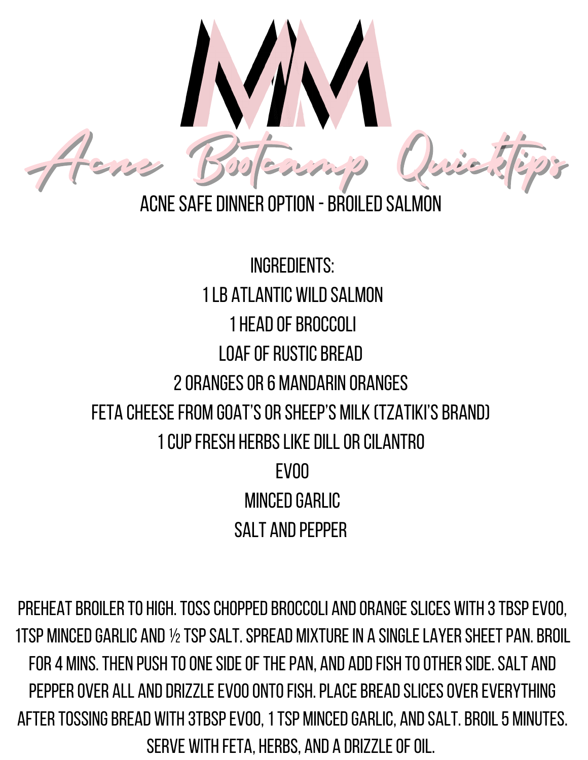

Ingredients: 1 I B ATI ANTIC WILD SALMON 1 HEAD OF BROCCOLL LOAF OF RUSTIC BREAD 2orangesor6 mandarin oranges FETA CHEESE FROM GOAT'S OR SHEEP'S MILK (TZATIKI'S BRAND) 1cupfresh herbslikedillorcilantro EVOO MINCED GARLIC SALT AND PEPPER

PREHEAT BROILER TO HIGH. TOSS CHOPPED BROCCOLI AND ORANGE SLICES WITH 3 TBSP EVOO, 1TSP MINCED GARLIC AND ½ TSP SALT. SPREAD MIXTURE IN A SINGLE LAYER SHEET PAN. BROIL FOR 4 MINS. THEN PUSH TO ONE SIDE OF THE PAN, AND ADD FISH TO OTHER SIDE. SALT AND pepper over all and drizzle EVOO ONTO FISH. PLACE BREAD SLICES OVER EVERYTHING AFTER TOSSING BREAD WITH 3TBSP EVOO, 1 TSP MINCED GARLIC, AND SALT. BROIL 5 MINUTES. SERVE WITH FETA, HERBS, AND A DRIZZLE OF OIL.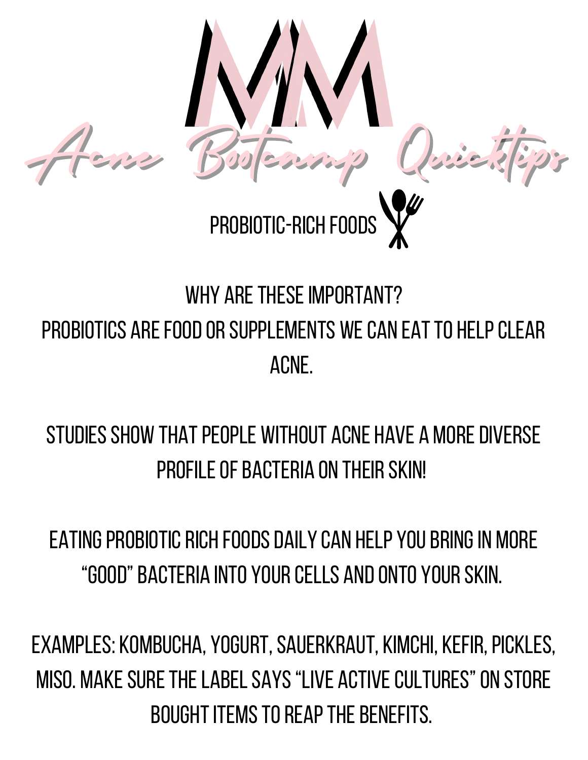

#### WHY ARE THESE IMPORTANT? PROBIOTICS ARE FOOD OR SUPPLEMENTS WE CAN EAT TO HELP CLEAR acne.

#### STUDIES SHOW THAT PEOPLE WITHOUT ACNE HAVE A MORE DIVERSE **PROFILE OF BACTERIA ON THEIR SKIN!**

EATING PROBIOTIC RICH FOODS DAILY CAN HELP YOU BRING IN MORE "good"bacteria into yourcells andonto yourskin.

EXAMPLES: KOMBUCHA, YOGURT, SAUERKRAUT, KIMCHI, KEFIR, PICKLES, MISO. MAKE SURE THE LABEL SAYS "LIVE ACTIVE CULTURES" ON STORE BOUGHT ITEMS TO REAP THE BENEFITS.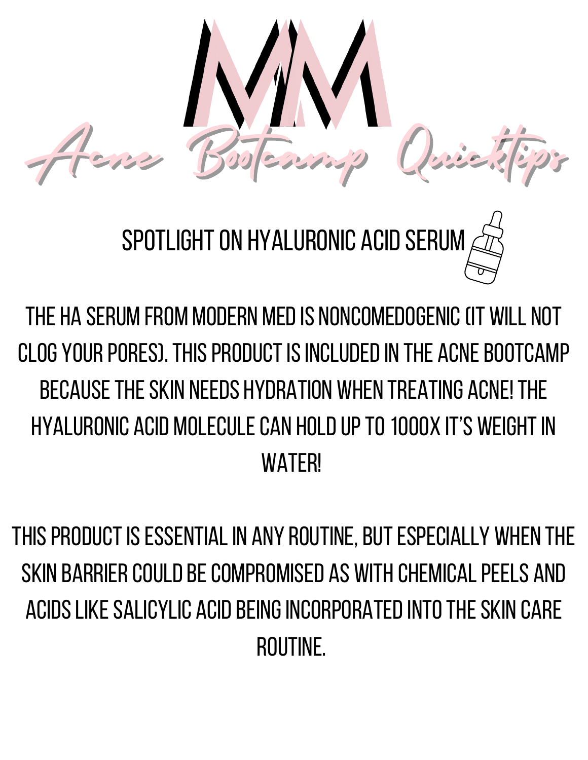

SPOTLIGHT ON HYALURONIC ACID SERUM

The HA serum from Modern Medis noncomedogenic(it will not CLOG YOUR PORES). THIS PRODUCT IS INCLUDED IN THE ACNF ROOTCAMP becausetheskin needs hydration when treating acne!The hyaluronic acid moleculecan holdupto1000x it's weightin **WATFR!** 

THIS PRODUCT IS ESSENTIAL IN ANY ROUTINE, BUT ESPECIALLY WHEN THE SKIN BARRIFR COULD BE COMPROMISED AS WITH CHEMICAL PEELS AND acidslikesalicylic acidbeingincorporatedintotheskin care routine.